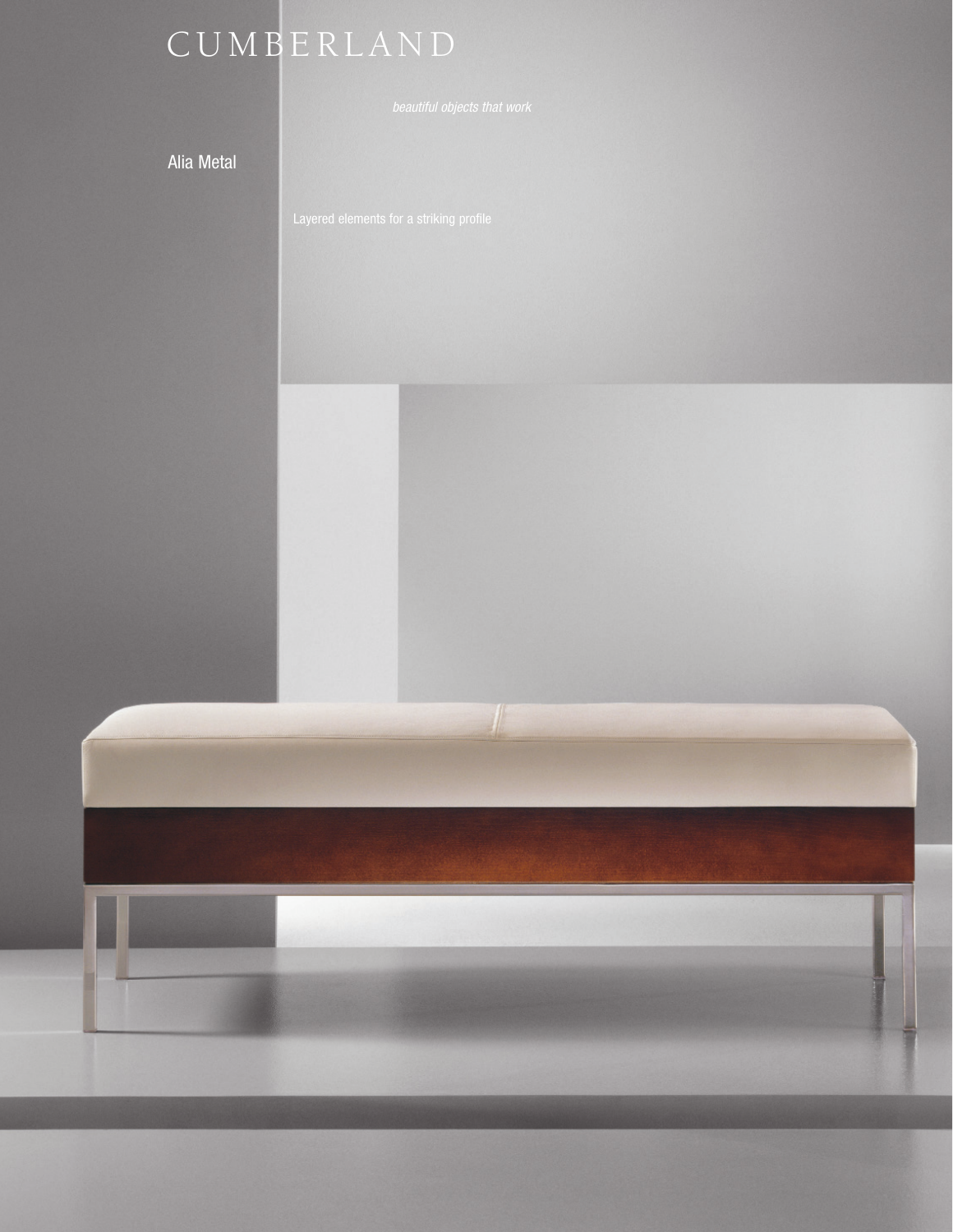